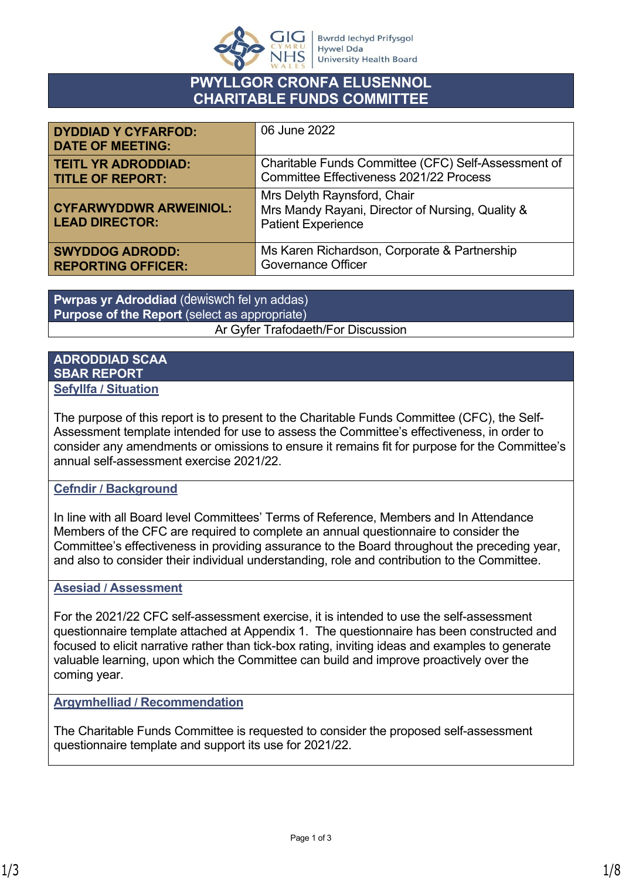

# **PWYLLGOR CRONFA ELUSENNOL CHARITABLE FUNDS COMMITTEE**

| <b>DYDDIAD Y CYFARFOD:</b><br><b>DATE OF MEETING:</b>  | 06 June 2022                                                                                                 |
|--------------------------------------------------------|--------------------------------------------------------------------------------------------------------------|
| <b>TEITL YR ADRODDIAD:</b>                             | Charitable Funds Committee (CFC) Self-Assessment of                                                          |
| <b>TITLE OF REPORT:</b>                                | Committee Effectiveness 2021/22 Process                                                                      |
| <b>CYFARWYDDWR ARWEINIOL:</b><br><b>LEAD DIRECTOR:</b> | Mrs Delyth Raynsford, Chair<br>Mrs Mandy Rayani, Director of Nursing, Quality &<br><b>Patient Experience</b> |
| <b>SWYDDOG ADRODD:</b>                                 | Ms Karen Richardson, Corporate & Partnership                                                                 |
| <b>REPORTING OFFICER:</b>                              | <b>Governance Officer</b>                                                                                    |

**Pwrpas yr Adroddiad** (dewiswch fel yn addas) **Purpose of the Report** (select as appropriate) Ar Gyfer Trafodaeth/For Discussion

#### **ADRODDIAD SCAA SBAR REPORT Sefyllfa / Situation**

The purpose of this report is to present to the Charitable Funds Committee (CFC), the Self-Assessment template intended for use to assess the Committee's effectiveness, in order to consider any amendments or omissions to ensure it remains fit for purpose for the Committee's annual self-assessment exercise 2021/22.

## **Cefndir / Background**

In line with all Board level Committees' Terms of Reference, Members and In Attendance Members of the CFC are required to complete an annual questionnaire to consider the Committee's effectiveness in providing assurance to the Board throughout the preceding year, and also to consider their individual understanding, role and contribution to the Committee.

## **Asesiad / Assessment**

For the 2021/22 CFC self-assessment exercise, it is intended to use the self-assessment questionnaire template attached at Appendix 1. The questionnaire has been constructed and focused to elicit narrative rather than tick-box rating, inviting ideas and examples to generate valuable learning, upon which the Committee can build and improve proactively over the coming year.

**Argymhelliad / Recommendation**

The Charitable Funds Committee is requested to consider the proposed self-assessment questionnaire template and support its use for 2021/22.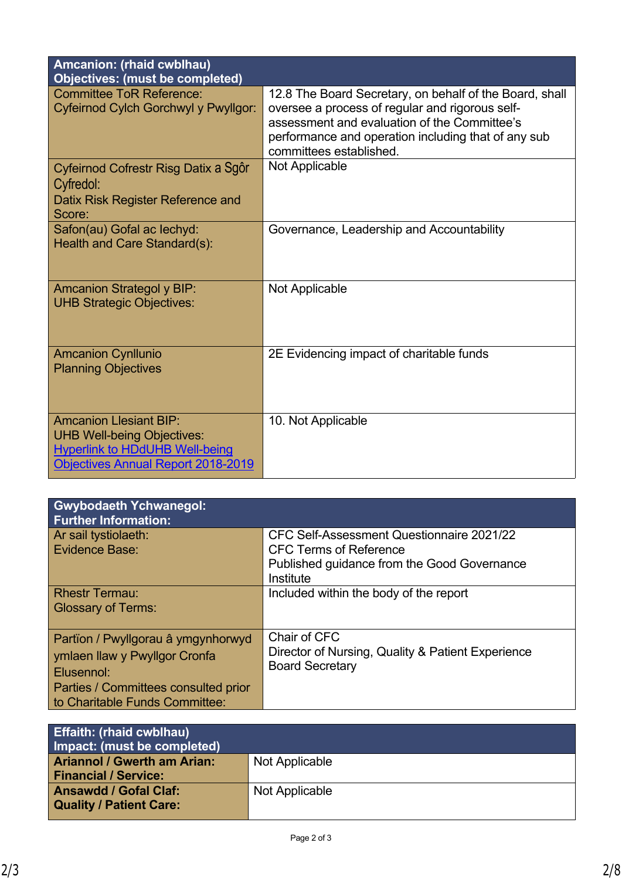| <b>Amcanion: (rhaid cwblhau)</b><br><b>Objectives: (must be completed)</b>                                                                               |                                                                                                                                                                                                                                              |
|----------------------------------------------------------------------------------------------------------------------------------------------------------|----------------------------------------------------------------------------------------------------------------------------------------------------------------------------------------------------------------------------------------------|
| <b>Committee ToR Reference:</b><br>Cyfeirnod Cylch Gorchwyl y Pwyllgor:                                                                                  | 12.8 The Board Secretary, on behalf of the Board, shall<br>oversee a process of regular and rigorous self-<br>assessment and evaluation of the Committee's<br>performance and operation including that of any sub<br>committees established. |
| Cyfeirnod Cofrestr Risg Datix a Sgôr<br>Cyfredol:<br>Datix Risk Register Reference and<br>Score:                                                         | Not Applicable                                                                                                                                                                                                                               |
| Safon(au) Gofal ac lechyd:<br>Health and Care Standard(s):                                                                                               | Governance, Leadership and Accountability                                                                                                                                                                                                    |
| <b>Amcanion Strategol y BIP:</b><br><b>UHB Strategic Objectives:</b>                                                                                     | Not Applicable                                                                                                                                                                                                                               |
| <b>Amcanion Cynllunio</b><br><b>Planning Objectives</b>                                                                                                  | 2E Evidencing impact of charitable funds                                                                                                                                                                                                     |
| <b>Amcanion Llesiant BIP:</b><br><b>UHB Well-being Objectives:</b><br><b>Hyperlink to HDdUHB Well-being</b><br><b>Objectives Annual Report 2018-2019</b> | 10. Not Applicable                                                                                                                                                                                                                           |

| <b>Gwybodaeth Ychwanegol:</b><br><b>Further Information:</b>                                                                                                |                                                                                                                                        |
|-------------------------------------------------------------------------------------------------------------------------------------------------------------|----------------------------------------------------------------------------------------------------------------------------------------|
| Ar sail tystiolaeth:<br>Evidence Base:                                                                                                                      | CFC Self-Assessment Questionnaire 2021/22<br><b>CFC Terms of Reference</b><br>Published guidance from the Good Governance<br>Institute |
| <b>Rhestr Termau:</b><br><b>Glossary of Terms:</b>                                                                                                          | Included within the body of the report                                                                                                 |
| Partïon / Pwyllgorau â ymgynhorwyd<br>ymlaen llaw y Pwyllgor Cronfa<br>Elusennol:<br>Parties / Committees consulted prior<br>to Charitable Funds Committee: | Chair of CFC<br>Director of Nursing, Quality & Patient Experience<br><b>Board Secretary</b>                                            |

| <b>Effaith: (rhaid cwblhau)</b><br>Impact: (must be completed)    |                |
|-------------------------------------------------------------------|----------------|
| <b>Ariannol / Gwerth am Arian:</b><br><b>Financial / Service:</b> | Not Applicable |
| <b>Ansawdd / Gofal Claf:</b><br><b>Quality / Patient Care:</b>    | Not Applicable |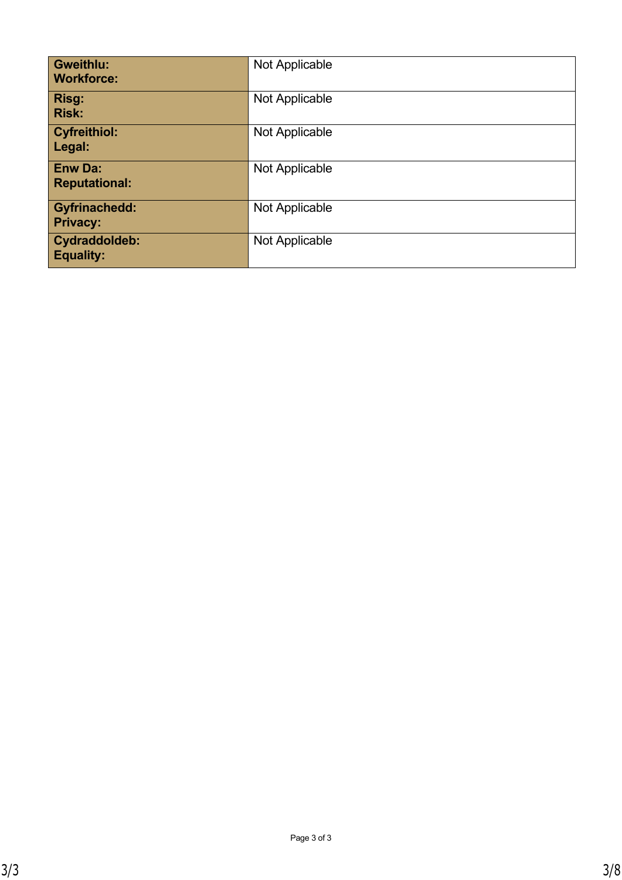| <b>Gweithlu:</b><br><b>Workforce:</b>   | Not Applicable |
|-----------------------------------------|----------------|
| Risg:<br><b>Risk:</b>                   | Not Applicable |
| <b>Cyfreithiol:</b><br>Legal:           | Not Applicable |
| <b>Enw Da:</b><br><b>Reputational:</b>  | Not Applicable |
| <b>Gyfrinachedd:</b><br><b>Privacy:</b> | Not Applicable |
| Cydraddoldeb:<br><b>Equality:</b>       | Not Applicable |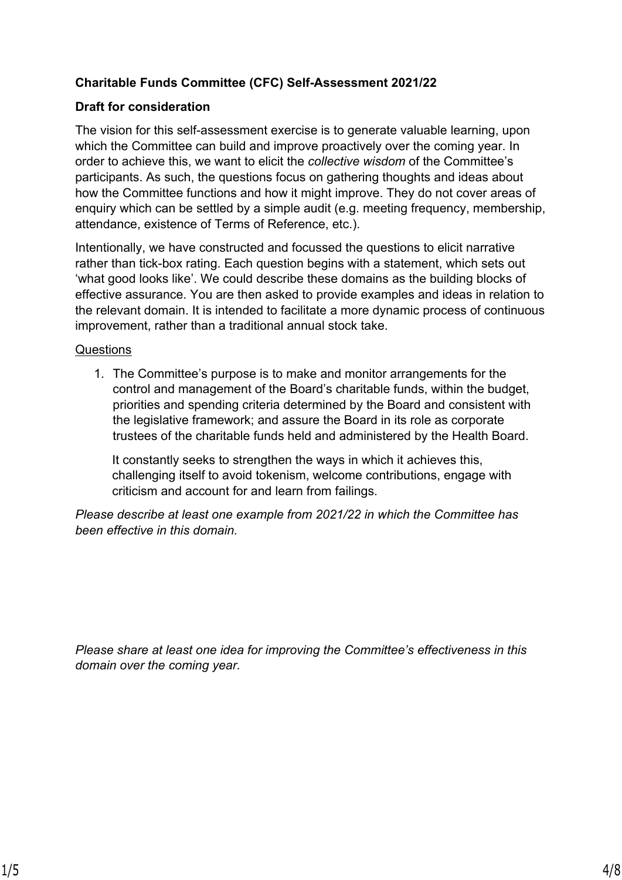## **Charitable Funds Committee (CFC) Self-Assessment 2021/22**

## **Draft for consideration**

The vision for this self-assessment exercise is to generate valuable learning, upon which the Committee can build and improve proactively over the coming year. In order to achieve this, we want to elicit the *collective wisdom* of the Committee's participants. As such, the questions focus on gathering thoughts and ideas about how the Committee functions and how it might improve. They do not cover areas of enquiry which can be settled by a simple audit (e.g. meeting frequency, membership, attendance, existence of Terms of Reference, etc.).

Intentionally, we have constructed and focussed the questions to elicit narrative rather than tick-box rating. Each question begins with a statement, which sets out 'what good looks like'. We could describe these domains as the building blocks of effective assurance. You are then asked to provide examples and ideas in relation to the relevant domain. It is intended to facilitate a more dynamic process of continuous improvement, rather than a traditional annual stock take.

#### Questions

1. The Committee's purpose is to make and monitor arrangements for the control and management of the Board's charitable funds, within the budget, priorities and spending criteria determined by the Board and consistent with the legislative framework; and assure the Board in its role as corporate trustees of the charitable funds held and administered by the Health Board.

It constantly seeks to strengthen the ways in which it achieves this, challenging itself to avoid tokenism, welcome contributions, engage with criticism and account for and learn from failings.

*Please describe at least one example from 2021/22 in which the Committee has been effective in this domain.*

*Please share at least one idea for improving the Committee's effectiveness in this domain over the coming year.*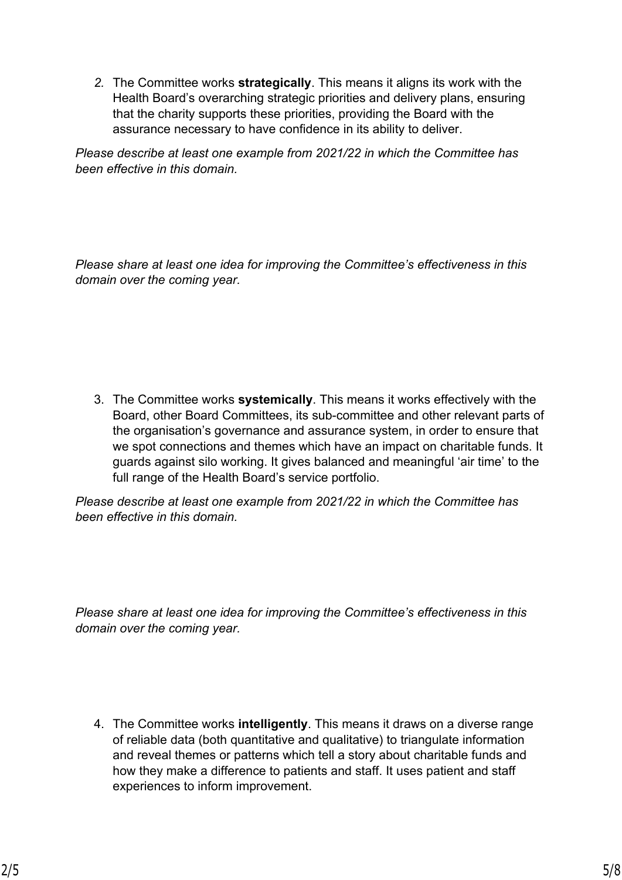*2.* The Committee works **strategically**. This means it aligns its work with the Health Board's overarching strategic priorities and delivery plans, ensuring that the charity supports these priorities, providing the Board with the assurance necessary to have confidence in its ability to deliver.

*Please describe at least one example from 2021/22 in which the Committee has been effective in this domain.*

*Please share at least one idea for improving the Committee's effectiveness in this domain over the coming year.*

3. The Committee works **systemically**. This means it works effectively with the Board, other Board Committees, its sub-committee and other relevant parts of the organisation's governance and assurance system, in order to ensure that we spot connections and themes which have an impact on charitable funds. It guards against silo working. It gives balanced and meaningful 'air time' to the full range of the Health Board's service portfolio.

*Please describe at least one example from 2021/22 in which the Committee has been effective in this domain.*

*Please share at least one idea for improving the Committee's effectiveness in this domain over the coming year.*

4. The Committee works **intelligently**. This means it draws on a diverse range of reliable data (both quantitative and qualitative) to triangulate information and reveal themes or patterns which tell a story about charitable funds and how they make a difference to patients and staff. It uses patient and staff experiences to inform improvement.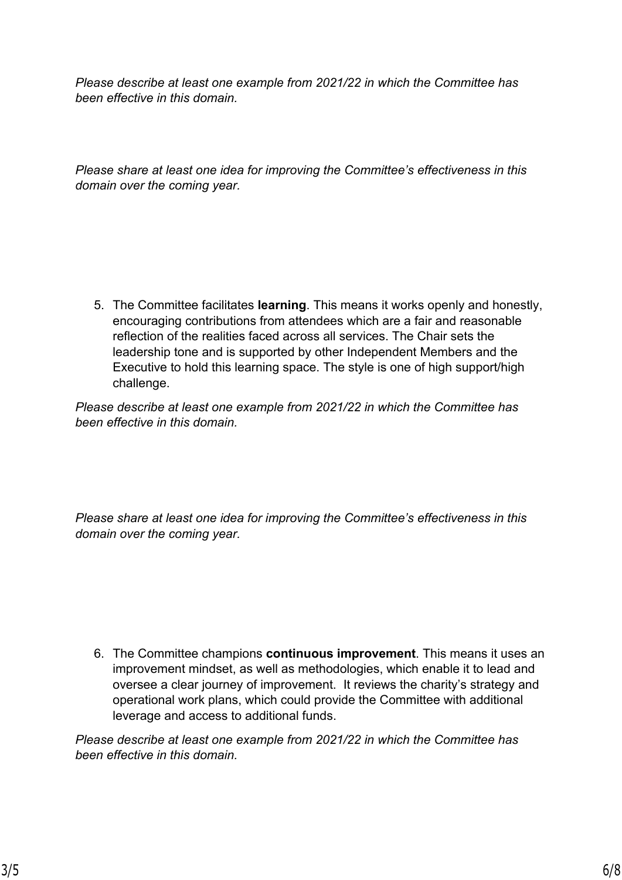*Please describe at least one example from 2021/22 in which the Committee has been effective in this domain.*

*Please share at least one idea for improving the Committee's effectiveness in this domain over the coming year.*

5. The Committee facilitates **learning**. This means it works openly and honestly, encouraging contributions from attendees which are a fair and reasonable reflection of the realities faced across all services. The Chair sets the leadership tone and is supported by other Independent Members and the Executive to hold this learning space. The style is one of high support/high challenge.

*Please describe at least one example from 2021/22 in which the Committee has been effective in this domain.*

*Please share at least one idea for improving the Committee's effectiveness in this domain over the coming year.*

6. The Committee champions **continuous improvement**. This means it uses an improvement mindset, as well as methodologies, which enable it to lead and oversee a clear journey of improvement. It reviews the charity's strategy and operational work plans, which could provide the Committee with additional leverage and access to additional funds.

*Please describe at least one example from 2021/22 in which the Committee has been effective in this domain.*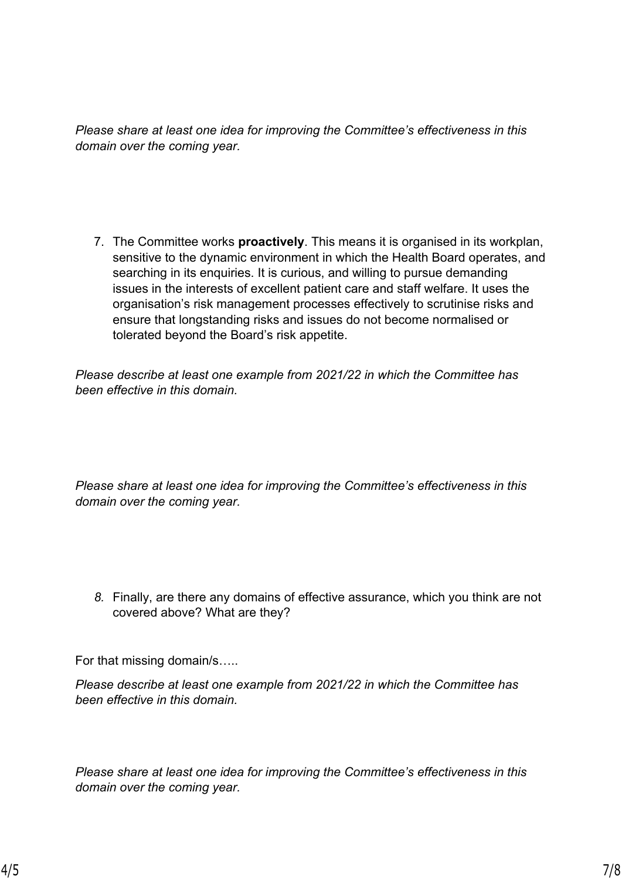*Please share at least one idea for improving the Committee's effectiveness in this domain over the coming year.*

7. The Committee works **proactively**. This means it is organised in its workplan, sensitive to the dynamic environment in which the Health Board operates, and searching in its enquiries. It is curious, and willing to pursue demanding issues in the interests of excellent patient care and staff welfare. It uses the organisation's risk management processes effectively to scrutinise risks and ensure that longstanding risks and issues do not become normalised or tolerated beyond the Board's risk appetite.

*Please describe at least one example from 2021/22 in which the Committee has been effective in this domain.*

*Please share at least one idea for improving the Committee's effectiveness in this domain over the coming year.*

*8.* Finally, are there any domains of effective assurance, which you think are not covered above? What are they?

For that missing domain/s…..

*Please describe at least one example from 2021/22 in which the Committee has been effective in this domain.*

*Please share at least one idea for improving the Committee's effectiveness in this domain over the coming year.*